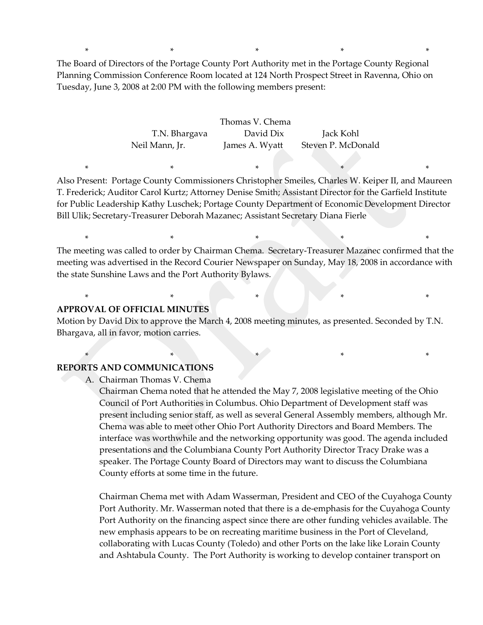The Board of Directors of the Portage County Port Authority met in the Portage County Regional Planning Commission Conference Room located at 124 North Prospect Street in Ravenna, Ohio on Tuesday, June 3, 2008 at 2:00 PM with the following members present:

\* \* \* \* \*

Thomas V. Chema T.N. Bhargava David Dix Jack Kohl Neil Mann, Jr. James A. Wyatt Steven P. McDonald

Also Present: Portage County Commissioners Christopher Smeiles, Charles W. Keiper II, and Maureen T. Frederick; Auditor Carol Kurtz; Attorney Denise Smith; Assistant Director for the Garfield Institute for Public Leadership Kathy Luschek; Portage County Department of Economic Development Director Bill Ulik; Secretary-Treasurer Deborah Mazanec; Assistant Secretary Diana Fierle

\* \* \* \* \* \* \* \* \*

The meeting was called to order by Chairman Chema. Secretary-Treasurer Mazanec confirmed that the meeting was advertised in the Record Courier Newspaper on Sunday, May 18, 2008 in accordance with the state Sunshine Laws and the Port Authority Bylaws.

\* \* \* \* \* \* \* \* \* \* \*

\* \* \* \* \* \* \* \* \* \*

 $*$  \*  $*$  \*

#### **APPROVAL OF OFFICIAL MINUTES**

Motion by David Dix to approve the March 4, 2008 meeting minutes, as presented. Seconded by T.N. Bhargava, all in favor, motion carries.

#### **REPORTS AND COMMUNICATIONS**

A. Chairman Thomas V. Chema

Chairman Chema noted that he attended the May 7, 2008 legislative meeting of the Ohio Council of Port Authorities in Columbus. Ohio Department of Development staff was present including senior staff, as well as several General Assembly members, although Mr. Chema was able to meet other Ohio Port Authority Directors and Board Members. The interface was worthwhile and the networking opportunity was good. The agenda included presentations and the Columbiana County Port Authority Director Tracy Drake was a speaker. The Portage County Board of Directors may want to discuss the Columbiana County efforts at some time in the future.

Chairman Chema met with Adam Wasserman, President and CEO of the Cuyahoga County Port Authority. Mr. Wasserman noted that there is a de-emphasis for the Cuyahoga County Port Authority on the financing aspect since there are other funding vehicles available. The new emphasis appears to be on recreating maritime business in the Port of Cleveland, collaborating with Lucas County (Toledo) and other Ports on the lake like Lorain County and Ashtabula County. The Port Authority is working to develop container transport on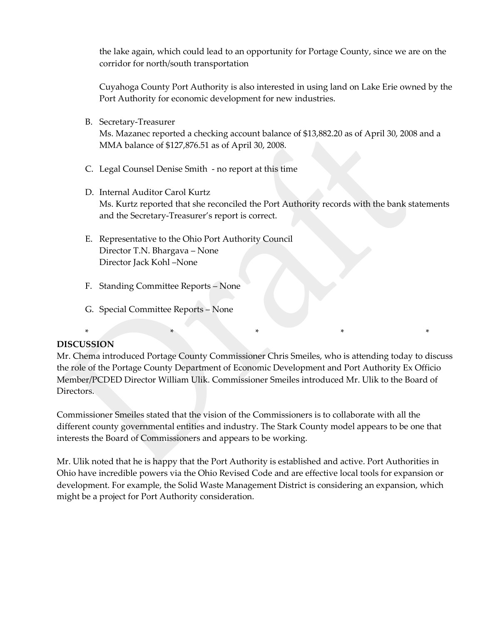the lake again, which could lead to an opportunity for Portage County, since we are on the corridor for north/south transportation

Cuyahoga County Port Authority is also interested in using land on Lake Erie owned by the Port Authority for economic development for new industries.

B. Secretary-Treasurer

Ms. Mazanec reported a checking account balance of \$13,882.20 as of April 30, 2008 and a MMA balance of \$127,876.51 as of April 30, 2008.

- C. Legal Counsel Denise Smith no report at this time
- D. Internal Auditor Carol Kurtz Ms. Kurtz reported that she reconciled the Port Authority records with the bank statements and the Secretary-Treasurer's report is correct.
- E. Representative to the Ohio Port Authority Council Director T.N. Bhargava – None Director Jack Kohl –None
- F. Standing Committee Reports None
- G. Special Committee Reports None

## **DISCUSSION**

Mr. Chema introduced Portage County Commissioner Chris Smeiles, who is attending today to discuss the role of the Portage County Department of Economic Development and Port Authority Ex Officio Member/PCDED Director William Ulik. Commissioner Smeiles introduced Mr. Ulik to the Board of Directors.

\* \* \* \* \* \* \* \*

Commissioner Smeiles stated that the vision of the Commissioners is to collaborate with all the different county governmental entities and industry. The Stark County model appears to be one that interests the Board of Commissioners and appears to be working.

Mr. Ulik noted that he is happy that the Port Authority is established and active. Port Authorities in Ohio have incredible powers via the Ohio Revised Code and are effective local tools for expansion or development. For example, the Solid Waste Management District is considering an expansion, which might be a project for Port Authority consideration.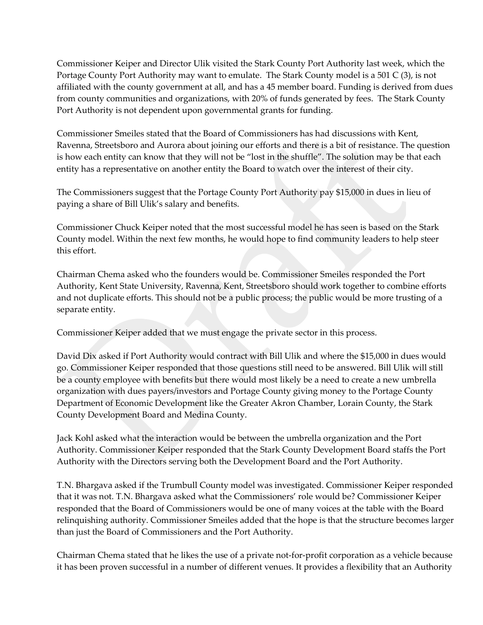Commissioner Keiper and Director Ulik visited the Stark County Port Authority last week, which the Portage County Port Authority may want to emulate. The Stark County model is a 501 C (3), is not affiliated with the county government at all, and has a 45 member board. Funding is derived from dues from county communities and organizations, with 20% of funds generated by fees. The Stark County Port Authority is not dependent upon governmental grants for funding.

Commissioner Smeiles stated that the Board of Commissioners has had discussions with Kent, Ravenna, Streetsboro and Aurora about joining our efforts and there is a bit of resistance. The question is how each entity can know that they will not be "lost in the shuffle". The solution may be that each entity has a representative on another entity the Board to watch over the interest of their city.

The Commissioners suggest that the Portage County Port Authority pay \$15,000 in dues in lieu of paying a share of Bill Ulik's salary and benefits.

Commissioner Chuck Keiper noted that the most successful model he has seen is based on the Stark County model. Within the next few months, he would hope to find community leaders to help steer this effort.

Chairman Chema asked who the founders would be. Commissioner Smeiles responded the Port Authority, Kent State University, Ravenna, Kent, Streetsboro should work together to combine efforts and not duplicate efforts. This should not be a public process; the public would be more trusting of a separate entity.

Commissioner Keiper added that we must engage the private sector in this process.

David Dix asked if Port Authority would contract with Bill Ulik and where the \$15,000 in dues would go. Commissioner Keiper responded that those questions still need to be answered. Bill Ulik will still be a county employee with benefits but there would most likely be a need to create a new umbrella organization with dues payers/investors and Portage County giving money to the Portage County Department of Economic Development like the Greater Akron Chamber, Lorain County, the Stark County Development Board and Medina County.

Jack Kohl asked what the interaction would be between the umbrella organization and the Port Authority. Commissioner Keiper responded that the Stark County Development Board staffs the Port Authority with the Directors serving both the Development Board and the Port Authority.

T.N. Bhargava asked if the Trumbull County model was investigated. Commissioner Keiper responded that it was not. T.N. Bhargava asked what the Commissioners' role would be? Commissioner Keiper responded that the Board of Commissioners would be one of many voices at the table with the Board relinquishing authority. Commissioner Smeiles added that the hope is that the structure becomes larger than just the Board of Commissioners and the Port Authority.

Chairman Chema stated that he likes the use of a private not-for-profit corporation as a vehicle because it has been proven successful in a number of different venues. It provides a flexibility that an Authority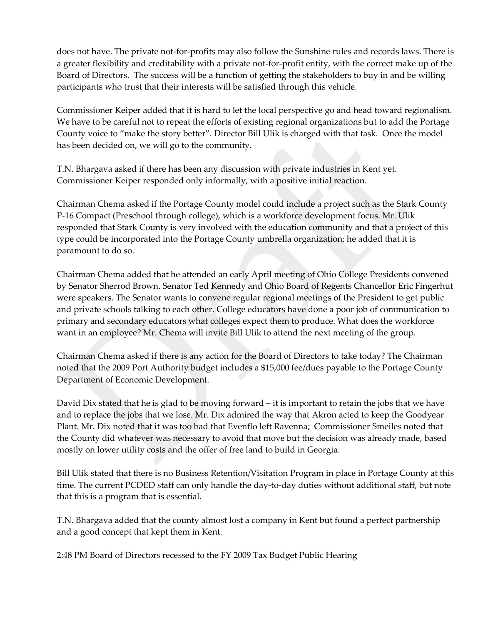does not have. The private not-for-profits may also follow the Sunshine rules and records laws. There is a greater flexibility and creditability with a private not-for-profit entity, with the correct make up of the Board of Directors. The success will be a function of getting the stakeholders to buy in and be willing participants who trust that their interests will be satisfied through this vehicle.

Commissioner Keiper added that it is hard to let the local perspective go and head toward regionalism. We have to be careful not to repeat the efforts of existing regional organizations but to add the Portage County voice to "make the story better". Director Bill Ulik is charged with that task. Once the model has been decided on, we will go to the community.

T.N. Bhargava asked if there has been any discussion with private industries in Kent yet. Commissioner Keiper responded only informally, with a positive initial reaction.

Chairman Chema asked if the Portage County model could include a project such as the Stark County P-16 Compact (Preschool through college), which is a workforce development focus. Mr. Ulik responded that Stark County is very involved with the education community and that a project of this type could be incorporated into the Portage County umbrella organization; he added that it is paramount to do so.

Chairman Chema added that he attended an early April meeting of Ohio College Presidents convened by Senator Sherrod Brown. Senator Ted Kennedy and Ohio Board of Regents Chancellor Eric Fingerhut were speakers. The Senator wants to convene regular regional meetings of the President to get public and private schools talking to each other. College educators have done a poor job of communication to primary and secondary educators what colleges expect them to produce. What does the workforce want in an employee? Mr. Chema will invite Bill Ulik to attend the next meeting of the group.

Chairman Chema asked if there is any action for the Board of Directors to take today? The Chairman noted that the 2009 Port Authority budget includes a \$15,000 fee/dues payable to the Portage County Department of Economic Development.

David Dix stated that he is glad to be moving forward – it is important to retain the jobs that we have and to replace the jobs that we lose. Mr. Dix admired the way that Akron acted to keep the Goodyear Plant. Mr. Dix noted that it was too bad that Evenflo left Ravenna; Commissioner Smeiles noted that the County did whatever was necessary to avoid that move but the decision was already made, based mostly on lower utility costs and the offer of free land to build in Georgia.

Bill Ulik stated that there is no Business Retention/Visitation Program in place in Portage County at this time. The current PCDED staff can only handle the day-to-day duties without additional staff, but note that this is a program that is essential.

T.N. Bhargava added that the county almost lost a company in Kent but found a perfect partnership and a good concept that kept them in Kent.

2:48 PM Board of Directors recessed to the FY 2009 Tax Budget Public Hearing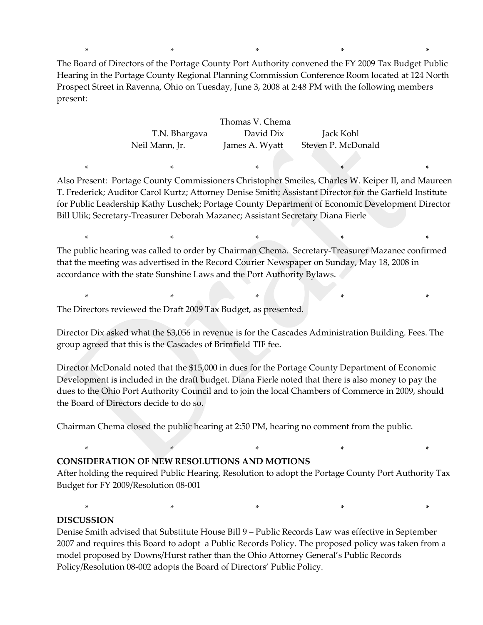\* \* \* \* \* The Board of Directors of the Portage County Port Authority convened the FY 2009 Tax Budget Public Hearing in the Portage County Regional Planning Commission Conference Room located at 124 North Prospect Street in Ravenna, Ohio on Tuesday, June 3, 2008 at 2:48 PM with the following members present:

| Thomas V. Chema |                |                    |  |  |  |
|-----------------|----------------|--------------------|--|--|--|
| T.N. Bhargava   | David Dix      | Jack Kohl          |  |  |  |
| Neil Mann, Jr.  | James A. Wyatt | Steven P. McDonald |  |  |  |

Also Present: Portage County Commissioners Christopher Smeiles, Charles W. Keiper II, and Maureen T. Frederick; Auditor Carol Kurtz; Attorney Denise Smith; Assistant Director for the Garfield Institute for Public Leadership Kathy Luschek; Portage County Department of Economic Development Director Bill Ulik; Secretary-Treasurer Deborah Mazanec; Assistant Secretary Diana Fierle

\* \* \* \* \* \* \* \* \*

The public hearing was called to order by Chairman Chema. Secretary-Treasurer Mazanec confirmed that the meeting was advertised in the Record Courier Newspaper on Sunday, May 18, 2008 in accordance with the state Sunshine Laws and the Port Authority Bylaws.

 $*$  \*  $*$  \*

\* \* \* \* \* \* \* \* \* \* \*

The Directors reviewed the Draft 2009 Tax Budget, as presented.

Director Dix asked what the \$3,056 in revenue is for the Cascades Administration Building. Fees. The group agreed that this is the Cascades of Brimfield TIF fee.

Director McDonald noted that the \$15,000 in dues for the Portage County Department of Economic Development is included in the draft budget. Diana Fierle noted that there is also money to pay the dues to the Ohio Port Authority Council and to join the local Chambers of Commerce in 2009, should the Board of Directors decide to do so.

Chairman Chema closed the public hearing at 2:50 PM, hearing no comment from the public.

## **CONSIDERATION OF NEW RESOLUTIONS AND MOTIONS**

After holding the required Public Hearing, Resolution to adopt the Portage County Port Authority Tax Budget for FY 2009/Resolution 08-001

 $*$  \*  $*$  \*  $*$  \*

\* \* \* \* \*

## **DISCUSSION**

Denise Smith advised that Substitute House Bill 9 – Public Records Law was effective in September 2007 and requires this Board to adopt a Public Records Policy. The proposed policy was taken from a model proposed by Downs/Hurst rather than the Ohio Attorney General's Public Records Policy/Resolution 08-002 adopts the Board of Directors' Public Policy.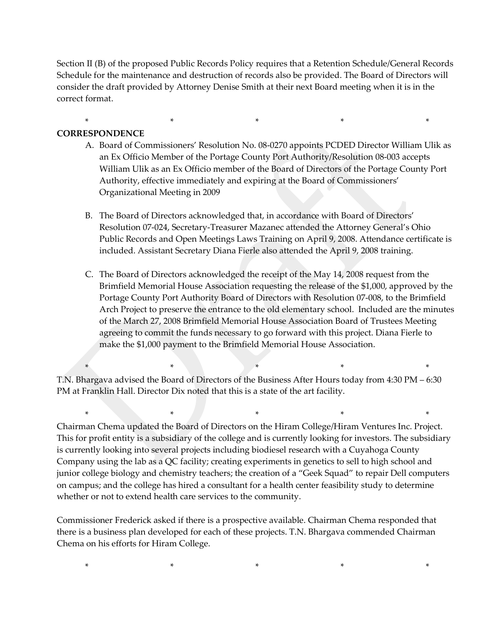Section II (B) of the proposed Public Records Policy requires that a Retention Schedule/General Records Schedule for the maintenance and destruction of records also be provided. The Board of Directors will consider the draft provided by Attorney Denise Smith at their next Board meeting when it is in the correct format.

 $*$  \*  $*$  \*  $*$  \*

## **CORRESPONDENCE**

- A. Board of Commissioners' Resolution No. 08-0270 appoints PCDED Director William Ulik as an Ex Officio Member of the Portage County Port Authority/Resolution 08-003 accepts William Ulik as an Ex Officio member of the Board of Directors of the Portage County Port Authority, effective immediately and expiring at the Board of Commissioners' Organizational Meeting in 2009
- B. The Board of Directors acknowledged that, in accordance with Board of Directors' Resolution 07-024, Secretary-Treasurer Mazanec attended the Attorney General's Ohio Public Records and Open Meetings Laws Training on April 9, 2008. Attendance certificate is included. Assistant Secretary Diana Fierle also attended the April 9, 2008 training.
- C. The Board of Directors acknowledged the receipt of the May 14, 2008 request from the Brimfield Memorial House Association requesting the release of the \$1,000, approved by the Portage County Port Authority Board of Directors with Resolution 07-008, to the Brimfield Arch Project to preserve the entrance to the old elementary school. Included are the minutes of the March 27, 2008 Brimfield Memorial House Association Board of Trustees Meeting agreeing to commit the funds necessary to go forward with this project. Diana Fierle to make the \$1,000 payment to the Brimfield Memorial House Association.

T.N. Bhargava advised the Board of Directors of the Business After Hours today from 4:30 PM – 6:30 PM at Franklin Hall. Director Dix noted that this is a state of the art facility.

\* \* \* \* \*

\* \* \* \* \* \* \* \* Chairman Chema updated the Board of Directors on the Hiram College/Hiram Ventures Inc. Project. This for profit entity is a subsidiary of the college and is currently looking for investors. The subsidiary is currently looking into several projects including biodiesel research with a Cuyahoga County Company using the lab as a QC facility; creating experiments in genetics to sell to high school and junior college biology and chemistry teachers; the creation of a "Geek Squad" to repair Dell computers on campus; and the college has hired a consultant for a health center feasibility study to determine whether or not to extend health care services to the community.

Commissioner Frederick asked if there is a prospective available. Chairman Chema responded that there is a business plan developed for each of these projects. T.N. Bhargava commended Chairman Chema on his efforts for Hiram College.

\* \* \* \* \*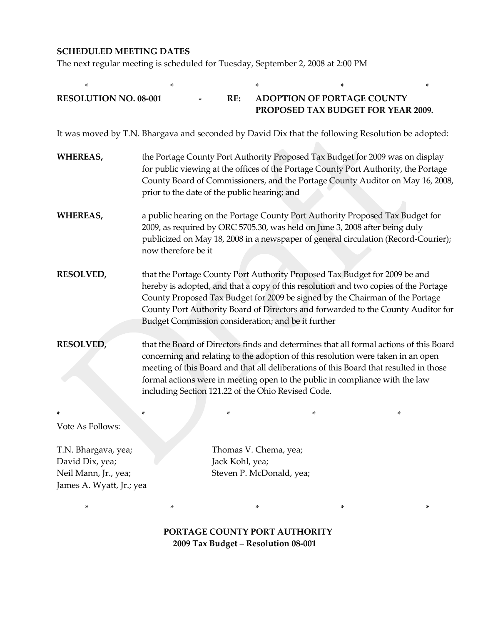## **SCHEDULED MEETING DATES**

The next regular meeting is scheduled for Tuesday, September 2, 2008 at 2:00 PM

| $\ast$                                                                                            | *                                                                                                                                                                                                                                                                                                                                                                                                         |                 |                                                                         | * | * |
|---------------------------------------------------------------------------------------------------|-----------------------------------------------------------------------------------------------------------------------------------------------------------------------------------------------------------------------------------------------------------------------------------------------------------------------------------------------------------------------------------------------------------|-----------------|-------------------------------------------------------------------------|---|---|
| <b>RESOLUTION NO. 08-001</b>                                                                      |                                                                                                                                                                                                                                                                                                                                                                                                           | RE:             | <b>ADOPTION OF PORTAGE COUNTY</b><br>PROPOSED TAX BUDGET FOR YEAR 2009. |   |   |
| It was moved by T.N. Bhargava and seconded by David Dix that the following Resolution be adopted: |                                                                                                                                                                                                                                                                                                                                                                                                           |                 |                                                                         |   |   |
| <b>WHEREAS,</b>                                                                                   | the Portage County Port Authority Proposed Tax Budget for 2009 was on display<br>for public viewing at the offices of the Portage County Port Authority, the Portage<br>County Board of Commissioners, and the Portage County Auditor on May 16, 2008,<br>prior to the date of the public hearing; and                                                                                                    |                 |                                                                         |   |   |
| <b>WHEREAS,</b>                                                                                   | a public hearing on the Portage County Port Authority Proposed Tax Budget for<br>2009, as required by ORC 5705.30, was held on June 3, 2008 after being duly<br>publicized on May 18, 2008 in a newspaper of general circulation (Record-Courier);<br>now therefore be it                                                                                                                                 |                 |                                                                         |   |   |
| <b>RESOLVED,</b>                                                                                  | that the Portage County Port Authority Proposed Tax Budget for 2009 be and<br>hereby is adopted, and that a copy of this resolution and two copies of the Portage<br>County Proposed Tax Budget for 2009 be signed by the Chairman of the Portage<br>County Port Authority Board of Directors and forwarded to the County Auditor for<br>Budget Commission consideration; and be it further               |                 |                                                                         |   |   |
| <b>RESOLVED,</b>                                                                                  | that the Board of Directors finds and determines that all formal actions of this Board<br>concerning and relating to the adoption of this resolution were taken in an open<br>meeting of this Board and that all deliberations of this Board that resulted in those<br>formal actions were in meeting open to the public in compliance with the law<br>including Section 121.22 of the Ohio Revised Code. |                 |                                                                         |   |   |
| Vote As Follows:                                                                                  | *                                                                                                                                                                                                                                                                                                                                                                                                         | *               | *                                                                       |   | * |
| T.N. Bhargava, yea;<br>David Dix, yea;<br>Neil Mann, Jr., yea;<br>James A. Wyatt, Jr.; yea        |                                                                                                                                                                                                                                                                                                                                                                                                           | Jack Kohl, yea; | Thomas V. Chema, yea;<br>Steven P. McDonald, yea;                       |   |   |

 **PORTAGE COUNTY PORT AUTHORITY 2009 Tax Budget – Resolution 08-001**

\* \* \* \* \*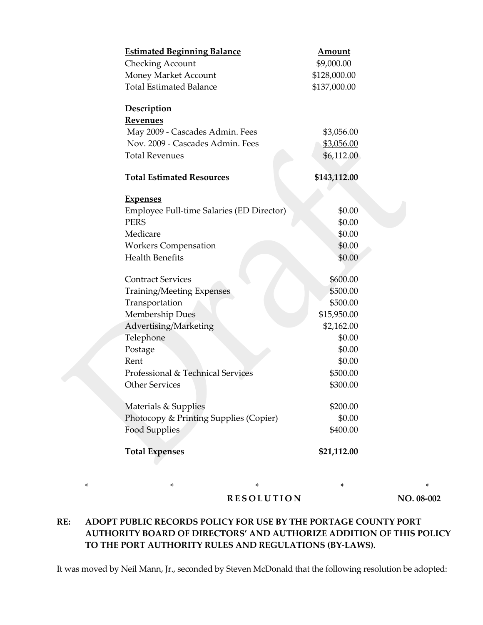| <b>Estimated Beginning Balance</b>        | <b>Amount</b>     |
|-------------------------------------------|-------------------|
| <b>Checking Account</b>                   | \$9,000.00        |
| Money Market Account                      | \$128,000.00      |
| <b>Total Estimated Balance</b>            | \$137,000.00      |
| Description                               |                   |
| <b>Revenues</b>                           |                   |
| May 2009 - Cascades Admin. Fees           | \$3,056.00        |
| Nov. 2009 - Cascades Admin. Fees          | <u>\$3,056.00</u> |
| <b>Total Revenues</b>                     | \$6,112.00        |
| <b>Total Estimated Resources</b>          | \$143,112.00      |
|                                           |                   |
| <b>Expenses</b>                           |                   |
| Employee Full-time Salaries (ED Director) | \$0.00            |
| <b>PERS</b>                               | \$0.00            |
| Medicare                                  | \$0.00            |
| <b>Workers Compensation</b>               | \$0.00            |
| <b>Health Benefits</b>                    | \$0.00            |
|                                           |                   |
| <b>Contract Services</b>                  | \$600.00          |
| <b>Training/Meeting Expenses</b>          | \$500.00          |
| Transportation                            | \$500.00          |
| <b>Membership Dues</b>                    | \$15,950.00       |
| Advertising/Marketing                     | \$2,162.00        |
| Telephone                                 | \$0.00            |
| Postage                                   | \$0.00            |
| Rent                                      | \$0.00            |
| Professional & Technical Services         | \$500.00          |
| <b>Other Services</b>                     | \$300.00          |
|                                           |                   |
| Materials & Supplies                      | \$200.00          |
| Photocopy & Printing Supplies (Copier)    | \$0.00            |
| <b>Food Supplies</b>                      | \$400.00          |
| <b>Total Expenses</b>                     | \$21,112.00       |

\* \* \* \* \*

**RESOLUTION NO. 08-002**

# **RE: ADOPT PUBLIC RECORDS POLICY FOR USE BY THE PORTAGE COUNTY PORT AUTHORITY BOARD OF DIRECTORS' AND AUTHORIZE ADDITION OF THIS POLICY TO THE PORT AUTHORITY RULES AND REGULATIONS (BY-LAWS).**

It was moved by Neil Mann, Jr., seconded by Steven McDonald that the following resolution be adopted: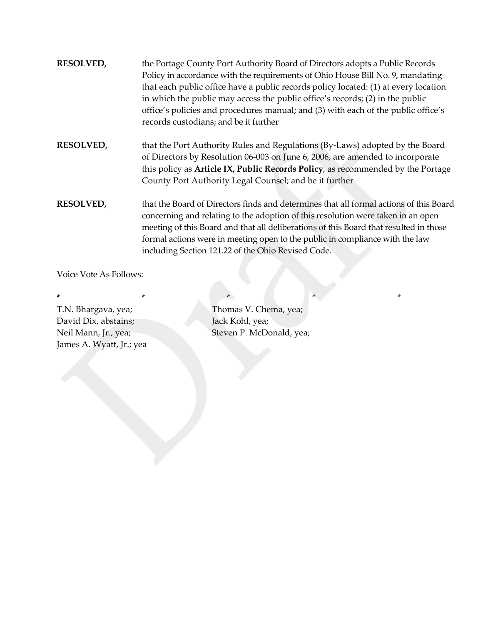- **RESOLVED,** the Portage County Port Authority Board of Directors adopts a Public Records Policy in accordance with the requirements of Ohio House Bill No. 9, mandating that each public office have a public records policy located: (1) at every location in which the public may access the public office's records; (2) in the public office's policies and procedures manual; and (3) with each of the public office's records custodians; and be it further
- **RESOLVED,** that the Port Authority Rules and Regulations (By-Laws) adopted by the Board of Directors by Resolution 06-003 on June 6, 2006, are amended to incorporate this policy as **Article IX, Public Records Policy**, as recommended by the Portage County Port Authority Legal Counsel; and be it further
- **RESOLVED,** that the Board of Directors finds and determines that all formal actions of this Board concerning and relating to the adoption of this resolution were taken in an open meeting of this Board and that all deliberations of this Board that resulted in those formal actions were in meeting open to the public in compliance with the law including Section 121.22 of the Ohio Revised Code.

Voice Vote As Follows:

\* \* \* \* \* \* \* \* David Dix, abstains; Jack Kohl, yea; James A. Wyatt, Jr.; yea

T.N. Bhargava, yea; Thomas V. Chema, yea; Neil Mann, Jr., yea; Steven P. McDonald, yea;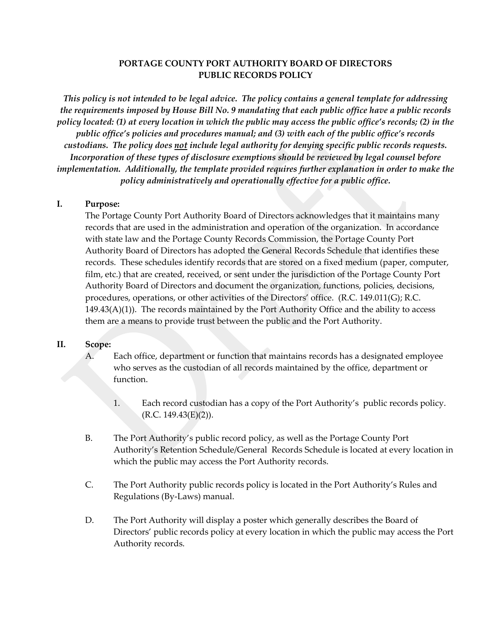## **PORTAGE COUNTY PORT AUTHORITY BOARD OF DIRECTORS PUBLIC RECORDS POLICY**

*This policy is not intended to be legal advice. The policy contains a general template for addressing the requirements imposed by House Bill No. 9 mandating that each public office have a public records policy located: (1) at every location in which the public may access the public office's records; (2) in the public office's policies and procedures manual; and (3) with each of the public office's records custodians. The policy does not include legal authority for denying specific public records requests. Incorporation of these types of disclosure exemptions should be reviewed by legal counsel before implementation. Additionally, the template provided requires further explanation in order to make the policy administratively and operationally effective for a public office.*

#### **I. Purpose:**

The Portage County Port Authority Board of Directors acknowledges that it maintains many records that are used in the administration and operation of the organization. In accordance with state law and the Portage County Records Commission, the Portage County Port Authority Board of Directors has adopted the General Records Schedule that identifies these records. These schedules identify records that are stored on a fixed medium (paper, computer, film, etc.) that are created, received, or sent under the jurisdiction of the Portage County Port Authority Board of Directors and document the organization, functions, policies, decisions, procedures, operations, or other activities of the Directors' office. (R.C. 149.011(G); R.C.  $149.43(A)(1)$ ). The records maintained by the Port Authority Office and the ability to access them are a means to provide trust between the public and the Port Authority.

#### **II. Scope:**

- A. Each office, department or function that maintains records has a designated employee who serves as the custodian of all records maintained by the office, department or function.
	- 1. Each record custodian has a copy of the Port Authority's public records policy.  $(R.C. 149.43(E)(2)).$
- B. The Port Authority's public record policy, as well as the Portage County Port Authority's Retention Schedule/General Records Schedule is located at every location in which the public may access the Port Authority records.
- C. The Port Authority public records policy is located in the Port Authority's Rules and Regulations (By-Laws) manual.
- D. The Port Authority will display a poster which generally describes the Board of Directors' public records policy at every location in which the public may access the Port Authority records.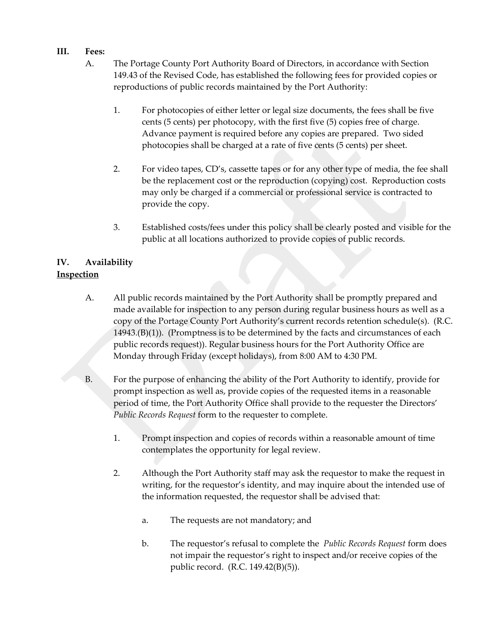## **III. Fees:**

- A. The Portage County Port Authority Board of Directors, in accordance with Section 149.43 of the Revised Code, has established the following fees for provided copies or reproductions of public records maintained by the Port Authority:
	- 1. For photocopies of either letter or legal size documents, the fees shall be five cents (5 cents) per photocopy, with the first five (5) copies free of charge. Advance payment is required before any copies are prepared. Two sided photocopies shall be charged at a rate of five cents (5 cents) per sheet.
	- 2. For video tapes, CD's, cassette tapes or for any other type of media, the fee shall be the replacement cost or the reproduction (copying) cost. Reproduction costs may only be charged if a commercial or professional service is contracted to provide the copy.
	- 3. Established costs/fees under this policy shall be clearly posted and visible for the public at all locations authorized to provide copies of public records.

## **IV. Availability Inspection**

- A. All public records maintained by the Port Authority shall be promptly prepared and made available for inspection to any person during regular business hours as well as a copy of the Portage County Port Authority's current records retention schedule(s). (R.C. 14943.(B)(1)). (Promptness is to be determined by the facts and circumstances of each public records request)). Regular business hours for the Port Authority Office are Monday through Friday (except holidays), from 8:00 AM to 4:30 PM.
- B. For the purpose of enhancing the ability of the Port Authority to identify, provide for prompt inspection as well as, provide copies of the requested items in a reasonable period of time, the Port Authority Office shall provide to the requester the Directors' *Public Records Request* form to the requester to complete.
	- 1. Prompt inspection and copies of records within a reasonable amount of time contemplates the opportunity for legal review.
	- 2. Although the Port Authority staff may ask the requestor to make the request in writing, for the requestor's identity, and may inquire about the intended use of the information requested, the requestor shall be advised that:
		- a. The requests are not mandatory; and
		- b. The requestor's refusal to complete the *Public Records Request* form does not impair the requestor's right to inspect and/or receive copies of the public record. (R.C. 149.42(B)(5)).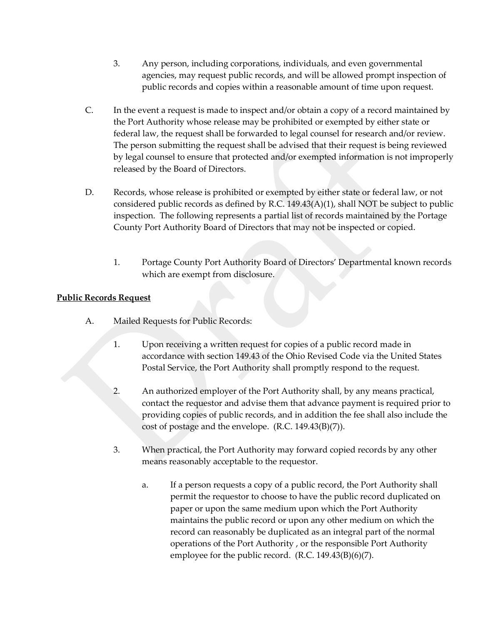- 3. Any person, including corporations, individuals, and even governmental agencies, may request public records, and will be allowed prompt inspection of public records and copies within a reasonable amount of time upon request.
- C. In the event a request is made to inspect and/or obtain a copy of a record maintained by the Port Authority whose release may be prohibited or exempted by either state or federal law, the request shall be forwarded to legal counsel for research and/or review. The person submitting the request shall be advised that their request is being reviewed by legal counsel to ensure that protected and/or exempted information is not improperly released by the Board of Directors.
- D. Records, whose release is prohibited or exempted by either state or federal law, or not considered public records as defined by R.C. 149.43(A)(1), shall NOT be subject to public inspection. The following represents a partial list of records maintained by the Portage County Port Authority Board of Directors that may not be inspected or copied.
	- 1. Portage County Port Authority Board of Directors' Departmental known records which are exempt from disclosure.

## **Public Records Request**

- A. Mailed Requests for Public Records:
	- 1. Upon receiving a written request for copies of a public record made in accordance with section 149.43 of the Ohio Revised Code via the United States Postal Service, the Port Authority shall promptly respond to the request.
	- 2. An authorized employer of the Port Authority shall, by any means practical, contact the requestor and advise them that advance payment is required prior to providing copies of public records, and in addition the fee shall also include the cost of postage and the envelope. (R.C. 149.43(B)(7)).
	- 3. When practical, the Port Authority may forward copied records by any other means reasonably acceptable to the requestor.
		- a. If a person requests a copy of a public record, the Port Authority shall permit the requestor to choose to have the public record duplicated on paper or upon the same medium upon which the Port Authority maintains the public record or upon any other medium on which the record can reasonably be duplicated as an integral part of the normal operations of the Port Authority , or the responsible Port Authority employee for the public record. (R.C. 149.43(B)(6)(7).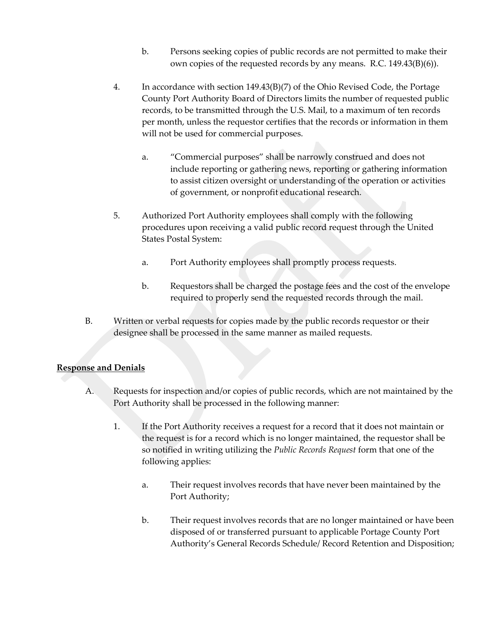- b. Persons seeking copies of public records are not permitted to make their own copies of the requested records by any means. R.C. 149.43(B)(6)).
- 4. In accordance with section 149.43(B)(7) of the Ohio Revised Code, the Portage County Port Authority Board of Directors limits the number of requested public records, to be transmitted through the U.S. Mail, to a maximum of ten records per month, unless the requestor certifies that the records or information in them will not be used for commercial purposes.
	- a. "Commercial purposes" shall be narrowly construed and does not include reporting or gathering news, reporting or gathering information to assist citizen oversight or understanding of the operation or activities of government, or nonprofit educational research.
- 5. Authorized Port Authority employees shall comply with the following procedures upon receiving a valid public record request through the United States Postal System:
	- a. Port Authority employees shall promptly process requests.
	- b. Requestors shall be charged the postage fees and the cost of the envelope required to properly send the requested records through the mail.
- B. Written or verbal requests for copies made by the public records requestor or their designee shall be processed in the same manner as mailed requests.

# **Response and Denials**

- A. Requests for inspection and/or copies of public records, which are not maintained by the Port Authority shall be processed in the following manner:
	- 1. If the Port Authority receives a request for a record that it does not maintain or the request is for a record which is no longer maintained, the requestor shall be so notified in writing utilizing the *Public Records Request* form that one of the following applies:
		- a. Their request involves records that have never been maintained by the Port Authority;
		- b. Their request involves records that are no longer maintained or have been disposed of or transferred pursuant to applicable Portage County Port Authority's General Records Schedule/ Record Retention and Disposition;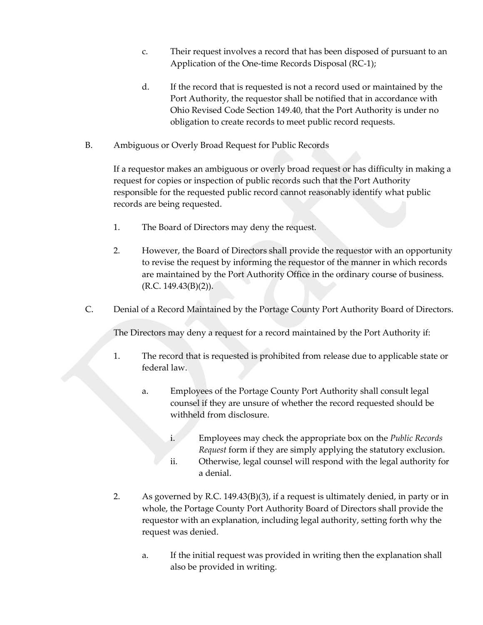- c. Their request involves a record that has been disposed of pursuant to an Application of the One-time Records Disposal (RC-1);
- d. If the record that is requested is not a record used or maintained by the Port Authority, the requestor shall be notified that in accordance with Ohio Revised Code Section 149.40, that the Port Authority is under no obligation to create records to meet public record requests.
- B. Ambiguous or Overly Broad Request for Public Records

If a requestor makes an ambiguous or overly broad request or has difficulty in making a request for copies or inspection of public records such that the Port Authority responsible for the requested public record cannot reasonably identify what public records are being requested.

- 1. The Board of Directors may deny the request.
- 2. However, the Board of Directors shall provide the requestor with an opportunity to revise the request by informing the requestor of the manner in which records are maintained by the Port Authority Office in the ordinary course of business. (R.C. 149.43(B)(2)).
- C. Denial of a Record Maintained by the Portage County Port Authority Board of Directors.

The Directors may deny a request for a record maintained by the Port Authority if:

- 1. The record that is requested is prohibited from release due to applicable state or federal law.
	- a. Employees of the Portage County Port Authority shall consult legal counsel if they are unsure of whether the record requested should be withheld from disclosure.
		- i. Employees may check the appropriate box on the *Public Records Request* form if they are simply applying the statutory exclusion.
		- ii. Otherwise, legal counsel will respond with the legal authority for a denial.
- 2. As governed by R.C. 149.43(B)(3), if a request is ultimately denied, in party or in whole, the Portage County Port Authority Board of Directors shall provide the requestor with an explanation, including legal authority, setting forth why the request was denied.
	- a. If the initial request was provided in writing then the explanation shall also be provided in writing.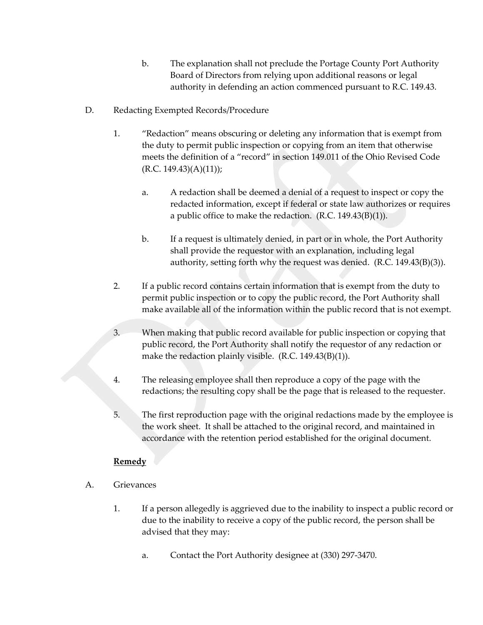- b. The explanation shall not preclude the Portage County Port Authority Board of Directors from relying upon additional reasons or legal authority in defending an action commenced pursuant to R.C. 149.43.
- D. Redacting Exempted Records/Procedure
	- 1. "Redaction" means obscuring or deleting any information that is exempt from the duty to permit public inspection or copying from an item that otherwise meets the definition of a "record" in section 149.011 of the Ohio Revised Code (R.C. 149.43)(A)(11));
		- a. A redaction shall be deemed a denial of a request to inspect or copy the redacted information, except if federal or state law authorizes or requires a public office to make the redaction.  $(R.C. 149.43(B)(1)).$
		- b. If a request is ultimately denied, in part or in whole, the Port Authority shall provide the requestor with an explanation, including legal authority, setting forth why the request was denied. (R.C. 149.43(B)(3)).
	- 2. If a public record contains certain information that is exempt from the duty to permit public inspection or to copy the public record, the Port Authority shall make available all of the information within the public record that is not exempt.
	- 3. When making that public record available for public inspection or copying that public record, the Port Authority shall notify the requestor of any redaction or make the redaction plainly visible. (R.C. 149.43(B)(1)).
	- 4. The releasing employee shall then reproduce a copy of the page with the redactions; the resulting copy shall be the page that is released to the requester.
	- 5. The first reproduction page with the original redactions made by the employee is the work sheet. It shall be attached to the original record, and maintained in accordance with the retention period established for the original document.

## **Remedy**

- A. Grievances
	- 1. If a person allegedly is aggrieved due to the inability to inspect a public record or due to the inability to receive a copy of the public record, the person shall be advised that they may:
		- a. Contact the Port Authority designee at (330) 297-3470.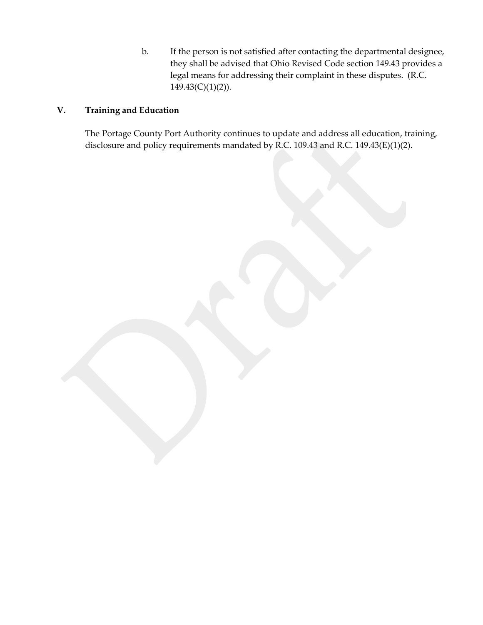b. If the person is not satisfied after contacting the departmental designee, they shall be advised that Ohio Revised Code section 149.43 provides a legal means for addressing their complaint in these disputes. (R.C.  $149.43(C)(1)(2)$ ).

# **V. Training and Education**

The Portage County Port Authority continues to update and address all education, training, disclosure and policy requirements mandated by R.C. 109.43 and R.C. 149.43(E)(1)(2).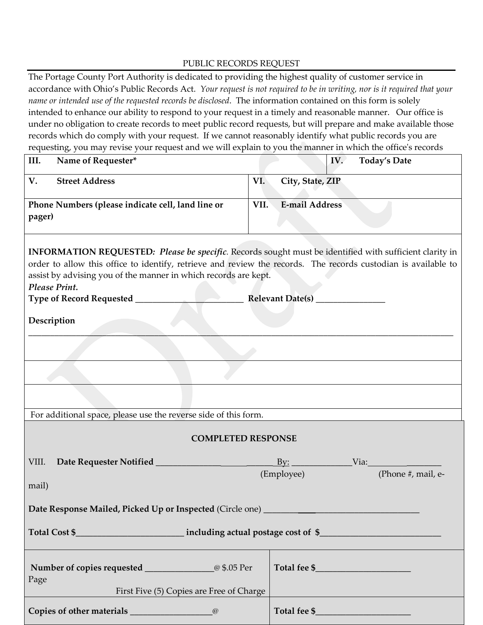#### PUBLIC RECORDS REQUEST

The Portage County Port Authority is dedicated to providing the highest quality of customer service in accordance with Ohio's Public Records Act. *Your request is not required to be in writing, nor is it required that your name or intended use of the requested records be disclosed*. The information contained on this form is solely intended to enhance our ability to respond to your request in a timely and reasonable manner. Our office is under no obligation to create records to meet public record requests, but will prepare and make available those records which do comply with your request. If we cannot reasonably identify what public records you are requesting, you may revise your request and we will explain to you the manner in which the office's records

| $\mathbf{r}$<br>◡<br>$\mathbf{r}$<br>III.<br>Name of Requester*                                                                                                                                                                                                                                                              | IV.<br><b>Today's Date</b>            |  |  |  |
|------------------------------------------------------------------------------------------------------------------------------------------------------------------------------------------------------------------------------------------------------------------------------------------------------------------------------|---------------------------------------|--|--|--|
| <b>Street Address</b><br>V.                                                                                                                                                                                                                                                                                                  | VI.<br>City, State, ZIP               |  |  |  |
| Phone Numbers (please indicate cell, land line or<br>pager)                                                                                                                                                                                                                                                                  | <b>E-mail Address</b><br>VII.         |  |  |  |
| INFORMATION REQUESTED: Please be specific. Records sought must be identified with sufficient clarity in<br>order to allow this office to identify, retrieve and review the records. The records custodian is available to<br>assist by advising you of the manner in which records are kept.<br>Please Print.<br>Description | Relevant Date(s) _______________      |  |  |  |
|                                                                                                                                                                                                                                                                                                                              |                                       |  |  |  |
|                                                                                                                                                                                                                                                                                                                              |                                       |  |  |  |
|                                                                                                                                                                                                                                                                                                                              |                                       |  |  |  |
| For additional space, please use the reverse side of this form.                                                                                                                                                                                                                                                              |                                       |  |  |  |
| <b>COMPLETED RESPONSE</b>                                                                                                                                                                                                                                                                                                    |                                       |  |  |  |
| VIII.                                                                                                                                                                                                                                                                                                                        | $\frac{By:}{y:}$                      |  |  |  |
| mail)                                                                                                                                                                                                                                                                                                                        | Via: (Phone #, mail, e-<br>(Employee) |  |  |  |
| Date Response Mailed, Picked Up or Inspected (Circle one)                                                                                                                                                                                                                                                                    |                                       |  |  |  |
|                                                                                                                                                                                                                                                                                                                              |                                       |  |  |  |
| Page<br>First Five (5) Copies are Free of Charge                                                                                                                                                                                                                                                                             |                                       |  |  |  |
|                                                                                                                                                                                                                                                                                                                              |                                       |  |  |  |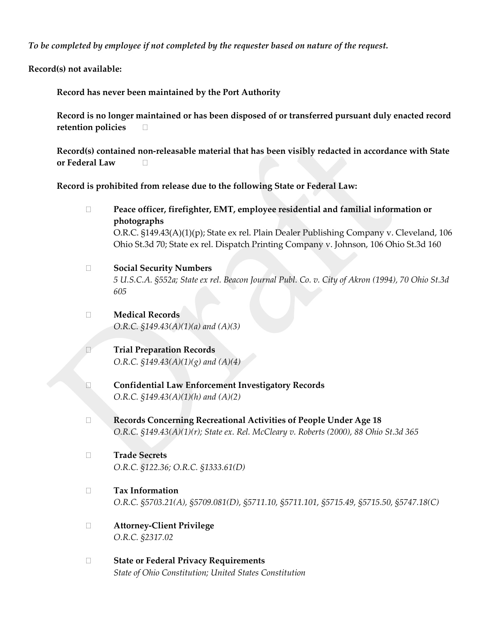*To be completed by employee if not completed by the requester based on nature of the request.*

**Record(s) not available:**

**Record has never been maintained by the Port Authority**

**Record is no longer maintained or has been disposed of or transferred pursuant duly enacted record retention policies**

**Record(s) contained non-releasable material that has been visibly redacted in accordance with State or Federal Law**

**Record is prohibited from release due to the following State or Federal Law:**

- **Peace officer, firefighter, EMT, employee residential and familial information or photographs** O.R.C. §149.43(A)(1)(p); State ex rel. Plain Dealer Publishing Company v. Cleveland, 106 Ohio St.3d 70; State ex rel. Dispatch Printing Company v. Johnson, 106 Ohio St.3d 160
- **Social Security Numbers** *5 U.S.C.A. §552a; State ex rel. Beacon Journal Publ. Co. v. City of Akron (1994), 70 Ohio St.3d 605*
- **Medical Records** *O.R.C. §149.43(A)(1)(a) and (A)(3)*
- **Trial Preparation Records** *O.R.C. §149.43(A)(1)(g) and (A)(4)*
- **Confidential Law Enforcement Investigatory Records** *O.R.C. §149.43(A)(1)(h) and (A)(2)*
- **Records Concerning Recreational Activities of People Under Age 18** *O.R.C. §149.43(A)(1)(r); State ex. Rel. McCleary v. Roberts (2000), 88 Ohio St.3d 365*
- **Trade Secrets** *O.R.C. §122.36; O.R.C. §1333.61(D)*
- **Tax Information** *O.R.C. §5703.21(A), §5709.081(D), §5711.10, §5711.101, §5715.49, §5715.50, §5747.18(C)*
- **Attorney-Client Privilege** *O.R.C. §2317.02*
- **State or Federal Privacy Requirements** *State of Ohio Constitution; United States Constitution*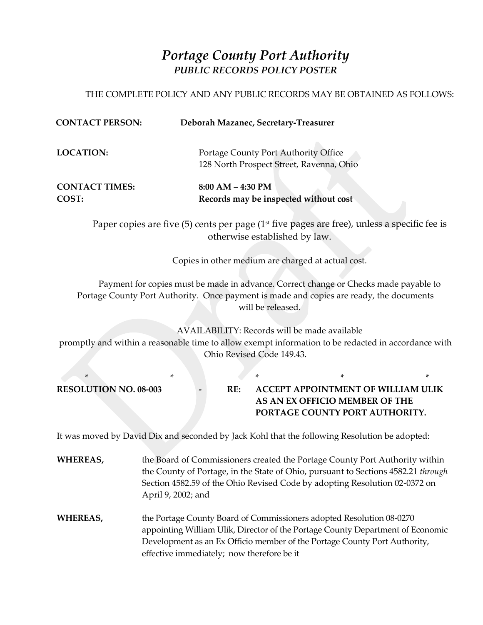# *Portage County Port Authority PUBLIC RECORDS POLICY POSTER*

## THE COMPLETE POLICY AND ANY PUBLIC RECORDS MAY BE OBTAINED AS FOLLOWS:

| <b>CONTACT PERSON:</b>         |                                                                                                                                                                                 |                           | Deborah Mazanec, Secretary-Treasurer                                             |                                                                                                                                                                                                                                                       |   |
|--------------------------------|---------------------------------------------------------------------------------------------------------------------------------------------------------------------------------|---------------------------|----------------------------------------------------------------------------------|-------------------------------------------------------------------------------------------------------------------------------------------------------------------------------------------------------------------------------------------------------|---|
| <b>LOCATION:</b>               |                                                                                                                                                                                 |                           | Portage County Port Authority Office<br>128 North Prospect Street, Ravenna, Ohio |                                                                                                                                                                                                                                                       |   |
| <b>CONTACT TIMES:</b><br>COST: |                                                                                                                                                                                 | $8:00 AM - 4:30 PM$       | Records may be inspected without cost                                            |                                                                                                                                                                                                                                                       |   |
|                                | Paper copies are five $(5)$ cents per page $(1st$ five pages are free), unless a specific fee is                                                                                |                           | otherwise established by law.                                                    |                                                                                                                                                                                                                                                       |   |
|                                |                                                                                                                                                                                 |                           |                                                                                  | Copies in other medium are charged at actual cost.                                                                                                                                                                                                    |   |
|                                | Payment for copies must be made in advance. Correct change or Checks made payable to<br>Portage County Port Authority. Once payment is made and copies are ready, the documents |                           | will be released.                                                                |                                                                                                                                                                                                                                                       |   |
|                                | promptly and within a reasonable time to allow exempt information to be redacted in accordance with                                                                             | Ohio Revised Code 149.43. |                                                                                  | AVAILABILITY: Records will be made available                                                                                                                                                                                                          |   |
| ∗                              | *                                                                                                                                                                               | *                         |                                                                                  | *                                                                                                                                                                                                                                                     | * |
| <b>RESOLUTION NO. 08-003</b>   |                                                                                                                                                                                 | RE:                       |                                                                                  | ACCEPT APPOINTMENT OF WILLIAM ULIK<br>AS AN EX OFFICIO MEMBER OF THE<br>PORTAGE COUNTY PORT AUTHORITY.                                                                                                                                                |   |
|                                | It was moved by David Dix and seconded by Jack Kohl that the following Resolution be adopted:                                                                                   |                           |                                                                                  |                                                                                                                                                                                                                                                       |   |
| WHEREAS,                       | April 9, 2002; and                                                                                                                                                              |                           |                                                                                  | the Board of Commissioners created the Portage County Port Authority within<br>the County of Portage, in the State of Ohio, pursuant to Sections 4582.21 <i>through</i><br>Section 4582.59 of the Ohio Revised Code by adopting Resolution 02-0372 on |   |
| <b>WHEREAS,</b>                | Development as an Ex Officio member of the Portage County Port Authority,                                                                                                       |                           |                                                                                  | the Portage County Board of Commissioners adopted Resolution 08-0270<br>appointing William Ulik, Director of the Portage County Department of Economic                                                                                                |   |

effective immediately; now therefore be it